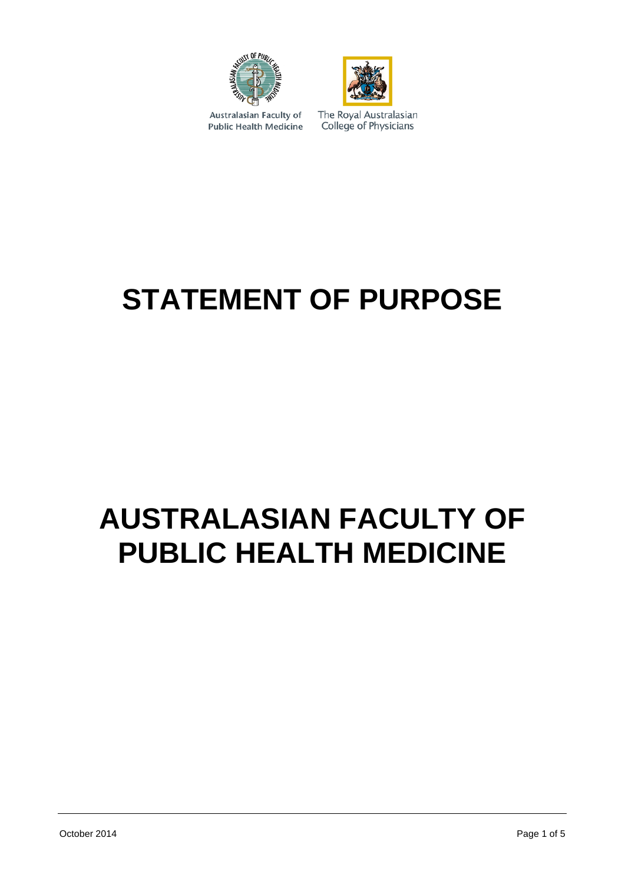



Australasian Faculty of **Public Health Medicine**  The Royal Australasian College of Physicians

# **STATEMENT OF PURPOSE**

## **AUSTRALASIAN FACULTY OF PUBLIC HEALTH MEDICINE**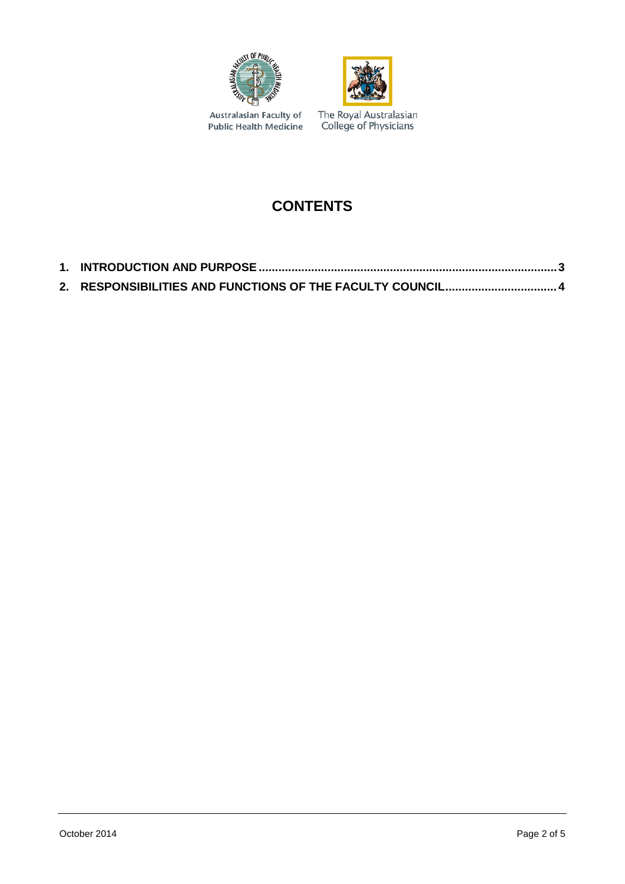



Australasian Faculty of<br>Public Health Medicine

The Royal Australasian<br>College of Physicians

## **CONTENTS**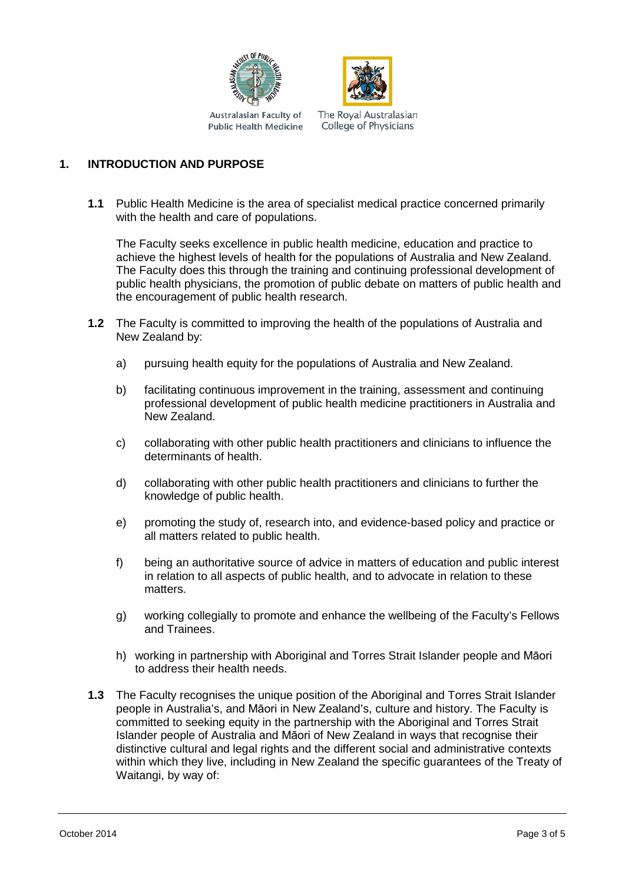



The Royal Australasian College of Physicians **Public Health Medicine** 

### <span id="page-2-0"></span>**1. INTRODUCTION AND PURPOSE**

**1.1** Public Health Medicine is the area of specialist medical practice concerned primarily with the health and care of populations.

The Faculty seeks excellence in public health medicine, education and practice to achieve the highest levels of health for the populations of Australia and New Zealand. The Faculty does this through the training and continuing professional development of public health physicians, the promotion of public debate on matters of public health and the encouragement of public health research.

- **1.2** The Faculty is committed to improving the health of the populations of Australia and New Zealand by:
	- a) pursuing health equity for the populations of Australia and New Zealand.
	- b) facilitating continuous improvement in the training, assessment and continuing professional development of public health medicine practitioners in Australia and New Zealand.
	- c) collaborating with other public health practitioners and clinicians to influence the determinants of health.
	- d) collaborating with other public health practitioners and clinicians to further the knowledge of public health.
	- e) promoting the study of, research into, and evidence-based policy and practice or all matters related to public health.
	- f) being an authoritative source of advice in matters of education and public interest in relation to all aspects of public health, and to advocate in relation to these matters.
	- g) working collegially to promote and enhance the wellbeing of the Faculty's Fellows and Trainees
	- h) working in partnership with Aboriginal and Torres Strait Islander people and Māori to address their health needs.
- **1.3** The Faculty recognises the unique position of the Aboriginal and Torres Strait Islander people in Australia's, and Māori in New Zealand's, culture and history. The Faculty is committed to seeking equity in the partnership with the Aboriginal and Torres Strait Islander people of Australia and Māori of New Zealand in ways that recognise their distinctive cultural and legal rights and the different social and administrative contexts within which they live, including in New Zealand the specific guarantees of the Treaty of Waitangi, by way of: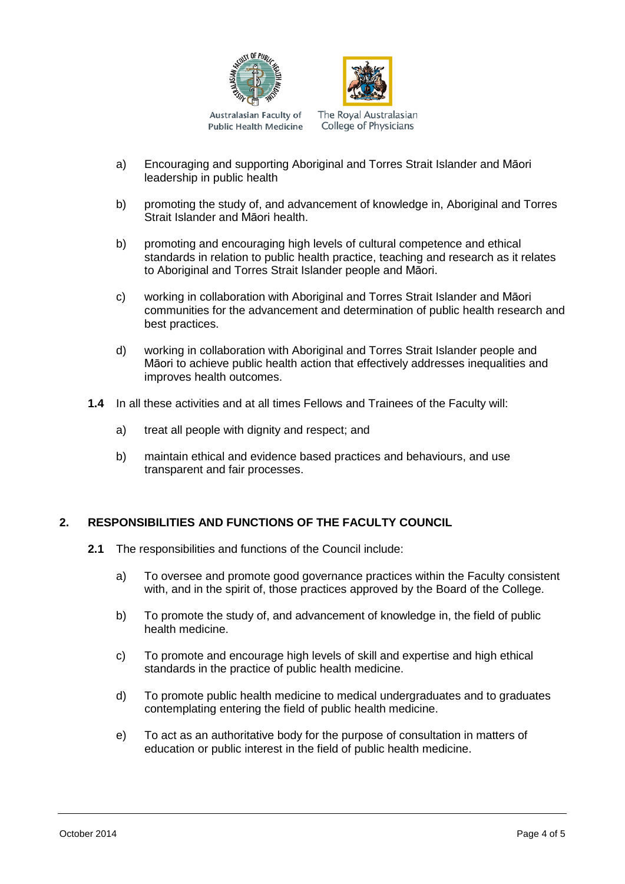



Australasian Faculty of **Public Health Medicine**  The Royal Australasian College of Physicians

- a) Encouraging and supporting Aboriginal and Torres Strait Islander and Māori leadership in public health
- b) promoting the study of, and advancement of knowledge in, Aboriginal and Torres Strait Islander and Māori health.
- b) promoting and encouraging high levels of cultural competence and ethical standards in relation to public health practice, teaching and research as it relates to Aboriginal and Torres Strait Islander people and Māori.
- c) working in collaboration with Aboriginal and Torres Strait Islander and Māori communities for the advancement and determination of public health research and best practices.
- d) working in collaboration with Aboriginal and Torres Strait Islander people and Māori to achieve public health action that effectively addresses inequalities and improves health outcomes.
- **1.4** In all these activities and at all times Fellows and Trainees of the Faculty will:
	- a) treat all people with dignity and respect; and
	- b) maintain ethical and evidence based practices and behaviours, and use transparent and fair processes.

#### <span id="page-3-0"></span>**2. RESPONSIBILITIES AND FUNCTIONS OF THE FACULTY COUNCIL**

- **2.1** The responsibilities and functions of the Council include:
	- a) To oversee and promote good governance practices within the Faculty consistent with, and in the spirit of, those practices approved by the Board of the College.
	- b) To promote the study of, and advancement of knowledge in, the field of public health medicine.
	- c) To promote and encourage high levels of skill and expertise and high ethical standards in the practice of public health medicine.
	- d) To promote public health medicine to medical undergraduates and to graduates contemplating entering the field of public health medicine.
	- e) To act as an authoritative body for the purpose of consultation in matters of education or public interest in the field of public health medicine.